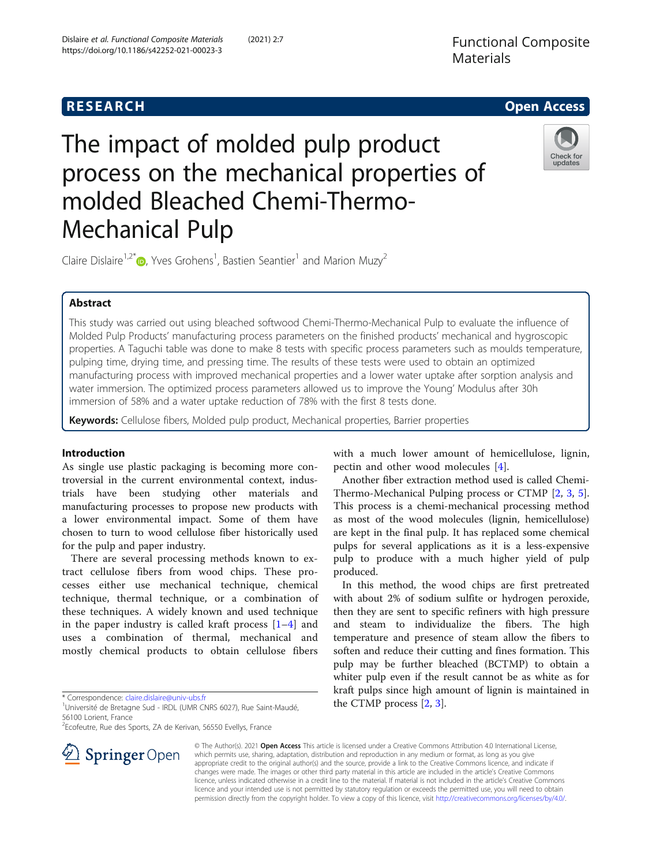

# The impact of molded pulp product process on the mechanical properties of molded Bleached Chemi-Thermo-Mechanical Pulp



Claire Dislaire<sup>1,2[\\*](http://orcid.org/0000-0001-5146-2262)</sup> $\text{D}$ , Yves Grohens<sup>1</sup>, Bastien Seantier<sup>1</sup> and Marion Muzy<sup>2</sup>

# Abstract

This study was carried out using bleached softwood Chemi-Thermo-Mechanical Pulp to evaluate the influence of Molded Pulp Products' manufacturing process parameters on the finished products' mechanical and hygroscopic properties. A Taguchi table was done to make 8 tests with specific process parameters such as moulds temperature, pulping time, drying time, and pressing time. The results of these tests were used to obtain an optimized manufacturing process with improved mechanical properties and a lower water uptake after sorption analysis and water immersion. The optimized process parameters allowed us to improve the Young' Modulus after 30h immersion of 58% and a water uptake reduction of 78% with the first 8 tests done.

Keywords: Cellulose fibers, Molded pulp product, Mechanical properties, Barrier properties

# Introduction

As single use plastic packaging is becoming more controversial in the current environmental context, industrials have been studying other materials and manufacturing processes to propose new products with a lower environmental impact. Some of them have chosen to turn to wood cellulose fiber historically used for the pulp and paper industry.

There are several processing methods known to extract cellulose fibers from wood chips. These processes either use mechanical technique, chemical technique, thermal technique, or a combination of these techniques. A widely known and used technique in the paper industry is called kraft process  $[1-4]$  $[1-4]$  $[1-4]$  $[1-4]$  $[1-4]$  and uses a combination of thermal, mechanical and mostly chemical products to obtain cellulose fibers

\* Correspondence: [claire.dislaire@univ-ubs.fr](mailto:claire.dislaire@univ-ubs.fr) <sup>1</sup>

<sup>2</sup>Ecofeutre, Rue des Sports, ZA de Kerivan, 56550 Evellys, France



Another fiber extraction method used is called Chemi-Thermo-Mechanical Pulping process or CTMP [\[2](#page-8-0), [3,](#page-8-0) [5](#page-8-0)]. This process is a chemi-mechanical processing method as most of the wood molecules (lignin, hemicellulose) are kept in the final pulp. It has replaced some chemical pulps for several applications as it is a less-expensive pulp to produce with a much higher yield of pulp produced.

In this method, the wood chips are first pretreated with about 2% of sodium sulfite or hydrogen peroxide, then they are sent to specific refiners with high pressure and steam to individualize the fibers. The high temperature and presence of steam allow the fibers to soften and reduce their cutting and fines formation. This pulp may be further bleached (BCTMP) to obtain a whiter pulp even if the result cannot be as white as for kraft pulps since high amount of lignin is maintained in the CTMP process [[2,](#page-8-0) [3\]](#page-8-0).



© The Author(s). 2021 Open Access This article is licensed under a Creative Commons Attribution 4.0 International License, which permits use, sharing, adaptation, distribution and reproduction in any medium or format, as long as you give appropriate credit to the original author(s) and the source, provide a link to the Creative Commons licence, and indicate if changes were made. The images or other third party material in this article are included in the article's Creative Commons licence, unless indicated otherwise in a credit line to the material. If material is not included in the article's Creative Commons licence and your intended use is not permitted by statutory regulation or exceeds the permitted use, you will need to obtain permission directly from the copyright holder. To view a copy of this licence, visit <http://creativecommons.org/licenses/by/4.0/>.

<sup>&</sup>lt;sup>1</sup> Université de Bretagne Sud - IRDL (UMR CNRS 6027), Rue Saint-Maudé, 56100 Lorient, France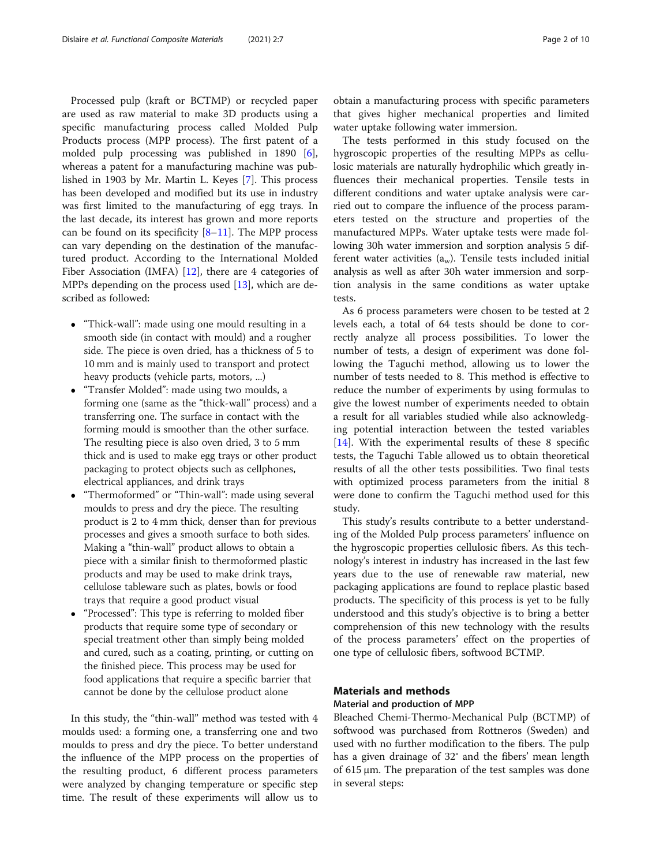Processed pulp (kraft or BCTMP) or recycled paper are used as raw material to make 3D products using a specific manufacturing process called Molded Pulp Products process (MPP process). The first patent of a molded pulp processing was published in 1890 [\[6](#page-8-0)], whereas a patent for a manufacturing machine was published in 1903 by Mr. Martin L. Keyes [\[7](#page-8-0)]. This process has been developed and modified but its use in industry was first limited to the manufacturing of egg trays. In the last decade, its interest has grown and more reports can be found on its specificity  $[8-11]$  $[8-11]$  $[8-11]$  $[8-11]$  $[8-11]$ . The MPP process can vary depending on the destination of the manufactured product. According to the International Molded Fiber Association (IMFA) [[12\]](#page-9-0), there are 4 categories of MPPs depending on the process used [[13](#page-9-0)], which are described as followed:

- "Thick-wall": made using one mould resulting in a smooth side (in contact with mould) and a rougher side. The piece is oven dried, has a thickness of 5 to 10 mm and is mainly used to transport and protect heavy products (vehicle parts, motors, ...)
- "Transfer Molded": made using two moulds, a forming one (same as the "thick-wall" process) and a transferring one. The surface in contact with the forming mould is smoother than the other surface. The resulting piece is also oven dried, 3 to 5 mm thick and is used to make egg trays or other product packaging to protect objects such as cellphones, electrical appliances, and drink trays
- "Thermoformed" or "Thin-wall": made using several moulds to press and dry the piece. The resulting product is 2 to 4 mm thick, denser than for previous processes and gives a smooth surface to both sides. Making a "thin-wall" product allows to obtain a piece with a similar finish to thermoformed plastic products and may be used to make drink trays, cellulose tableware such as plates, bowls or food trays that require a good product visual
- "Processed": This type is referring to molded fiber products that require some type of secondary or special treatment other than simply being molded and cured, such as a coating, printing, or cutting on the finished piece. This process may be used for food applications that require a specific barrier that cannot be done by the cellulose product alone

In this study, the "thin-wall" method was tested with 4 moulds used: a forming one, a transferring one and two moulds to press and dry the piece. To better understand the influence of the MPP process on the properties of the resulting product, 6 different process parameters were analyzed by changing temperature or specific step time. The result of these experiments will allow us to

obtain a manufacturing process with specific parameters that gives higher mechanical properties and limited water uptake following water immersion.

The tests performed in this study focused on the hygroscopic properties of the resulting MPPs as cellulosic materials are naturally hydrophilic which greatly influences their mechanical properties. Tensile tests in different conditions and water uptake analysis were carried out to compare the influence of the process parameters tested on the structure and properties of the manufactured MPPs. Water uptake tests were made following 30h water immersion and sorption analysis 5 different water activities  $(a_w)$ . Tensile tests included initial analysis as well as after 30h water immersion and sorption analysis in the same conditions as water uptake tests.

As 6 process parameters were chosen to be tested at 2 levels each, a total of 64 tests should be done to correctly analyze all process possibilities. To lower the number of tests, a design of experiment was done following the Taguchi method, allowing us to lower the number of tests needed to 8. This method is effective to reduce the number of experiments by using formulas to give the lowest number of experiments needed to obtain a result for all variables studied while also acknowledging potential interaction between the tested variables [[14\]](#page-9-0). With the experimental results of these 8 specific tests, the Taguchi Table allowed us to obtain theoretical results of all the other tests possibilities. Two final tests with optimized process parameters from the initial 8 were done to confirm the Taguchi method used for this study.

This study's results contribute to a better understanding of the Molded Pulp process parameters' influence on the hygroscopic properties cellulosic fibers. As this technology's interest in industry has increased in the last few years due to the use of renewable raw material, new packaging applications are found to replace plastic based products. The specificity of this process is yet to be fully understood and this study's objective is to bring a better comprehension of this new technology with the results of the process parameters' effect on the properties of one type of cellulosic fibers, softwood BCTMP.

# Materials and methods

# Material and production of MPP

Bleached Chemi-Thermo-Mechanical Pulp (BCTMP) of softwood was purchased from Rottneros (Sweden) and used with no further modification to the fibers. The pulp has a given drainage of 32° and the fibers' mean length of 615 μm. The preparation of the test samples was done in several steps: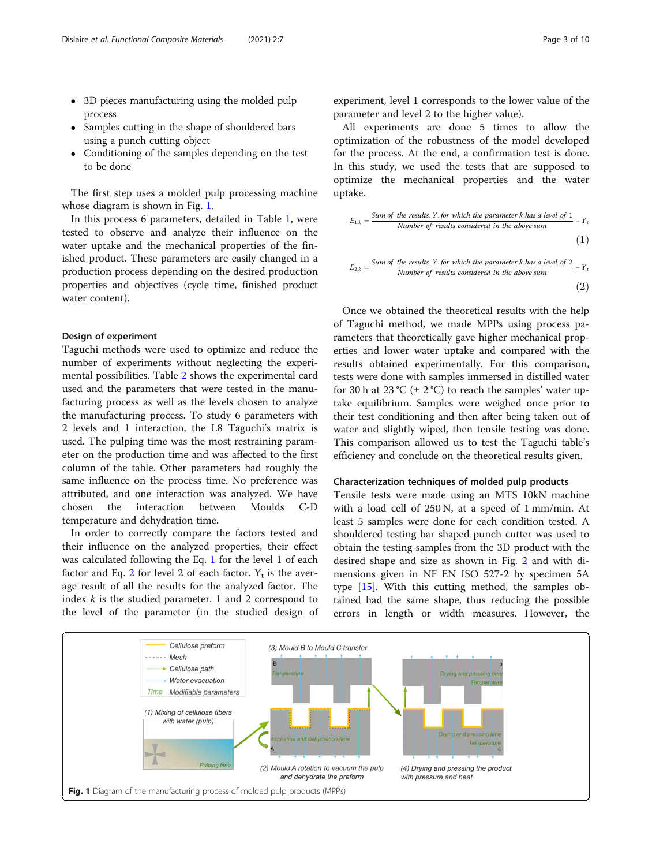- 3D pieces manufacturing using the molded pulp process
- Samples cutting in the shape of shouldered bars using a punch cutting object
- Conditioning of the samples depending on the test to be done

The first step uses a molded pulp processing machine whose diagram is shown in Fig. 1.

In this process 6 parameters, detailed in Table [1,](#page-3-0) were tested to observe and analyze their influence on the water uptake and the mechanical properties of the finished product. These parameters are easily changed in a production process depending on the desired production properties and objectives (cycle time, finished product water content).

#### Design of experiment

Taguchi methods were used to optimize and reduce the number of experiments without neglecting the experimental possibilities. Table [2](#page-3-0) shows the experimental card used and the parameters that were tested in the manufacturing process as well as the levels chosen to analyze the manufacturing process. To study 6 parameters with 2 levels and 1 interaction, the L8 Taguchi's matrix is used. The pulping time was the most restraining parameter on the production time and was affected to the first column of the table. Other parameters had roughly the same influence on the process time. No preference was attributed, and one interaction was analyzed. We have chosen the interaction between Moulds C-D temperature and dehydration time.

In order to correctly compare the factors tested and their influence on the analyzed properties, their effect was calculated following the Eq. 1 for the level 1 of each factor and Eq. 2 for level 2 of each factor.  $Y_t$  is the average result of all the results for the analyzed factor. The index  $k$  is the studied parameter. 1 and 2 correspond to the level of the parameter (in the studied design of experiment, level 1 corresponds to the lower value of the parameter and level 2 to the higher value).

All experiments are done 5 times to allow the optimization of the robustness of the model developed for the process. At the end, a confirmation test is done. In this study, we used the tests that are supposed to optimize the mechanical properties and the water uptake.

$$
E_{1,k} = \frac{Sum of the results, Y, for which the parameter k has a level of 1}{Number of results considered in the above sum}
$$
\n(1)

$$
E_{2,k} = \frac{Sum\ of\ the\ results, Y, for\ which\ the\ parameter\ k\ has\ a\ level\ of\ 2}{Number\ of\ results\ considered\ in\ the\ above\ sum}
$$
\n(2)

Once we obtained the theoretical results with the help of Taguchi method, we made MPPs using process parameters that theoretically gave higher mechanical properties and lower water uptake and compared with the results obtained experimentally. For this comparison, tests were done with samples immersed in distilled water for 30 h at 23 °C ( $\pm$  2 °C) to reach the samples' water uptake equilibrium. Samples were weighed once prior to their test conditioning and then after being taken out of water and slightly wiped, then tensile testing was done. This comparison allowed us to test the Taguchi table's efficiency and conclude on the theoretical results given.

#### Characterization techniques of molded pulp products

Tensile tests were made using an MTS 10kN machine with a load cell of 250 N, at a speed of 1 mm/min. At least 5 samples were done for each condition tested. A shouldered testing bar shaped punch cutter was used to obtain the testing samples from the 3D product with the desired shape and size as shown in Fig. [2](#page-4-0) and with dimensions given in NF EN ISO 527-2 by specimen 5A type [\[15](#page-9-0)]. With this cutting method, the samples obtained had the same shape, thus reducing the possible errors in length or width measures. However, the

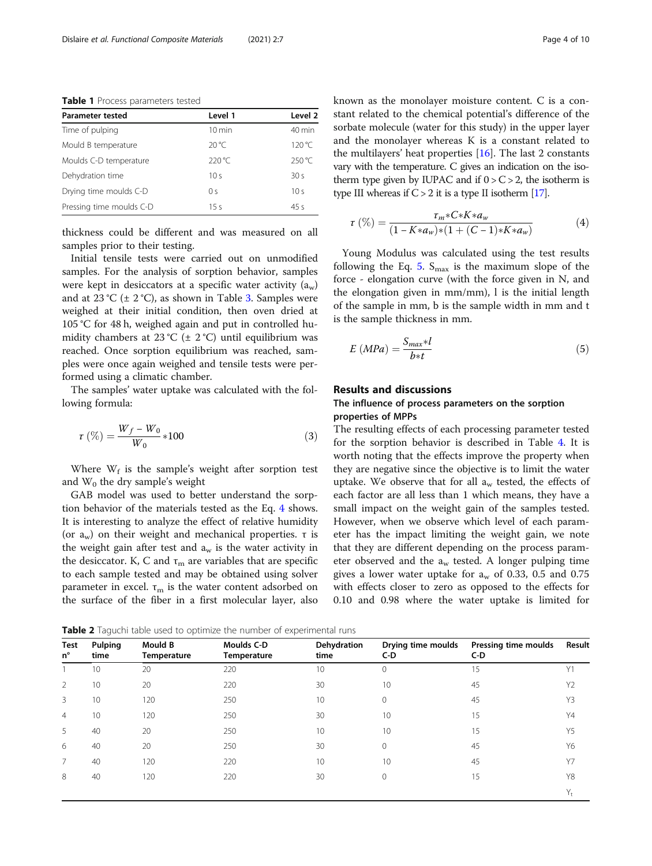<span id="page-3-0"></span>Table 1 Process parameters tested

| <b>Parameter tested</b>  | Level 1          | Level 2          |  |
|--------------------------|------------------|------------------|--|
| Time of pulping          | $10 \text{ min}$ | $40 \text{ min}$ |  |
| Mould B temperature      | $20^{\circ}$ C   | $120^{\circ}$ C  |  |
| Moulds C-D temperature   | $220^{\circ}$ C  | $250^{\circ}$ C  |  |
| Dehydration time         | 10 <sub>s</sub>  | 30s              |  |
| Drving time moulds C-D   | 0 <sup>5</sup>   | 10 <sub>s</sub>  |  |
| Pressing time moulds C-D | 15s              | 45s              |  |

thickness could be different and was measured on all samples prior to their testing.

Initial tensile tests were carried out on unmodified samples. For the analysis of sorption behavior, samples were kept in desiccators at a specific water activity  $(a_w)$ and at 2[3](#page-4-0) °C ( $\pm$  2 °C), as shown in Table 3. Samples were weighed at their initial condition, then oven dried at 105 °C for 48 h, weighed again and put in controlled humidity chambers at 23 °C ( $\pm$  2 °C) until equilibrium was reached. Once sorption equilibrium was reached, samples were once again weighed and tensile tests were performed using a climatic chamber.

The samples' water uptake was calculated with the following formula:

$$
\tau\,\left(\%\right) = \frac{W_f - W_0}{W_0} * 100\tag{3}
$$

Where  $W_f$  is the sample's weight after sorption test and  $W_0$  the dry sample's weight

GAB model was used to better understand the sorption behavior of the materials tested as the Eq. 4 shows. It is interesting to analyze the effect of relative humidity (or  $a_w$ ) on their weight and mechanical properties. τ is the weight gain after test and  $a_w$  is the water activity in the desiccator. K, C and  $\tau_{\rm m}$  are variables that are specific to each sample tested and may be obtained using solver parameter in excel.  $\tau_m$  is the water content adsorbed on the surface of the fiber in a first molecular layer, also known as the monolayer moisture content. C is a constant related to the chemical potential's difference of the sorbate molecule (water for this study) in the upper layer and the monolayer whereas K is a constant related to the multilayers' heat properties [[16\]](#page-9-0). The last 2 constants vary with the temperature. C gives an indication on the isotherm type given by IUPAC and if  $0 > C > 2$ , the isotherm is type III whereas if  $C > 2$  it is a type II isotherm [\[17](#page-9-0)].

$$
\tau\left(\%) = \frac{\tau_m * C * K * a_w}{(1 - K * a_w) * (1 + (C - 1) * K * a_w)}\tag{4}
$$

Young Modulus was calculated using the test results following the Eq. 5.  $S_{\text{max}}$  is the maximum slope of the force - elongation curve (with the force given in N, and the elongation given in mm/mm), l is the initial length of the sample in mm, b is the sample width in mm and t is the sample thickness in mm.

$$
E\left(MPa\right) = \frac{S_{max} * l}{b * t} \tag{5}
$$

## Results and discussions

# The influence of process parameters on the sorption properties of MPPs

The resulting effects of each processing parameter tested for the sorption behavior is described in Table [4.](#page-5-0) It is worth noting that the effects improve the property when they are negative since the objective is to limit the water uptake. We observe that for all  $a_w$  tested, the effects of each factor are all less than 1 which means, they have a small impact on the weight gain of the samples tested. However, when we observe which level of each parameter has the impact limiting the weight gain, we note that they are different depending on the process parameter observed and the  $a_w$  tested. A longer pulping time gives a lower water uptake for  $a_w$  of 0.33, 0.5 and 0.75 with effects closer to zero as opposed to the effects for 0.10 and 0.98 where the water uptake is limited for

Table 2 Taguchi table used to optimize the number of experimental runs

| Test<br>$n^{\circ}$ | Pulping<br>time | <b>Mould B</b><br><b>Temperature</b> | <b>Moulds C-D</b><br>Temperature | Dehydration<br>time | Drying time moulds<br>C-D | Pressing time moulds<br>$C-D$ | Result |
|---------------------|-----------------|--------------------------------------|----------------------------------|---------------------|---------------------------|-------------------------------|--------|
|                     | 10              | 20                                   | 220                              | 10                  | $\mathbf{0}$              | 15                            | Y1     |
| 2                   | 10              | 20                                   | 220                              | 30                  | 10                        | 45                            | Y2     |
| 3                   | 10              | 120                                  | 250                              | 10                  | $\Omega$                  | 45                            | Y3     |
| 4                   | 10              | 120                                  | 250                              | 30                  | 10                        | 15                            | Y4     |
| 5                   | 40              | 20                                   | 250                              | 10                  | 10                        | 15                            | Y5     |
| 6                   | 40              | 20                                   | 250                              | 30                  | $\mathbf 0$               | 45                            | Y6     |
| $\overline{7}$      | 40              | 120                                  | 220                              | 10                  | 10                        | 45                            | Y7     |
| 8                   | 40              | 120                                  | 220                              | 30                  | $\mathbf 0$               | 15                            | Y8     |
|                     |                 |                                      |                                  |                     |                           |                               | Y,     |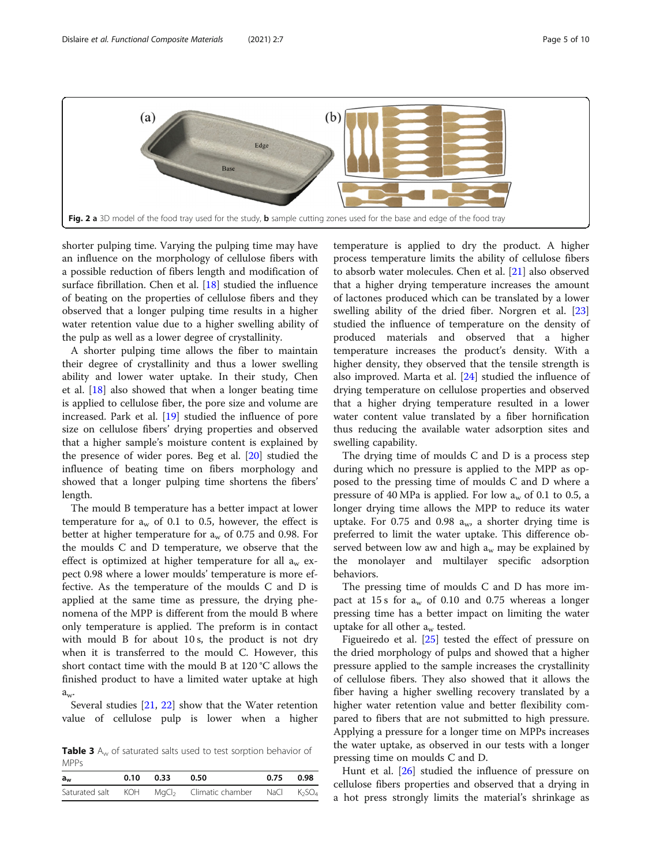<span id="page-4-0"></span>

shorter pulping time. Varying the pulping time may have an influence on the morphology of cellulose fibers with a possible reduction of fibers length and modification of surface fibrillation. Chen et al. [[18\]](#page-9-0) studied the influence of beating on the properties of cellulose fibers and they observed that a longer pulping time results in a higher water retention value due to a higher swelling ability of the pulp as well as a lower degree of crystallinity.

A shorter pulping time allows the fiber to maintain their degree of crystallinity and thus a lower swelling ability and lower water uptake. In their study, Chen et al. [\[18\]](#page-9-0) also showed that when a longer beating time is applied to cellulose fiber, the pore size and volume are increased. Park et al. [\[19](#page-9-0)] studied the influence of pore size on cellulose fibers' drying properties and observed that a higher sample's moisture content is explained by the presence of wider pores. Beg et al. [\[20\]](#page-9-0) studied the influence of beating time on fibers morphology and showed that a longer pulping time shortens the fibers' length.

The mould B temperature has a better impact at lower temperature for  $a_w$  of 0.1 to 0.5, however, the effect is better at higher temperature for  $a_w$  of 0.75 and 0.98. For the moulds C and D temperature, we observe that the effect is optimized at higher temperature for all  $a_w$  expect 0.98 where a lower moulds' temperature is more effective. As the temperature of the moulds C and D is applied at the same time as pressure, the drying phenomena of the MPP is different from the mould B where only temperature is applied. The preform is in contact with mould B for about 10 s, the product is not dry when it is transferred to the mould C. However, this short contact time with the mould B at 120 °C allows the finished product to have a limited water uptake at high  $a_w$ 

Several studies [[21,](#page-9-0) [22](#page-9-0)] show that the Water retention value of cellulose pulp is lower when a higher

**Table 3**  $A_w$  of saturated salts used to test sorption behavior of MPPs

| $a_w$ | 0.10 | 0.33 | 0.50                                                                            | $0.75$ 0.98 |
|-------|------|------|---------------------------------------------------------------------------------|-------------|
|       |      |      | Saturated salt KOH $MqCl2$ Climatic chamber NaCl K <sub>2</sub> SO <sub>4</sub> |             |

temperature is applied to dry the product. A higher process temperature limits the ability of cellulose fibers to absorb water molecules. Chen et al. [[21\]](#page-9-0) also observed that a higher drying temperature increases the amount of lactones produced which can be translated by a lower swelling ability of the dried fiber. Norgren et al. [[23](#page-9-0)] studied the influence of temperature on the density of produced materials and observed that a higher temperature increases the product's density. With a higher density, they observed that the tensile strength is also improved. Marta et al. [[24\]](#page-9-0) studied the influence of drying temperature on cellulose properties and observed that a higher drying temperature resulted in a lower water content value translated by a fiber hornification thus reducing the available water adsorption sites and swelling capability.

The drying time of moulds C and D is a process step during which no pressure is applied to the MPP as opposed to the pressing time of moulds C and D where a pressure of 40 MPa is applied. For low  $a_w$  of 0.1 to 0.5, a longer drying time allows the MPP to reduce its water uptake. For 0.75 and 0.98  $a_{\rm w}$ , a shorter drying time is preferred to limit the water uptake. This difference observed between low aw and high  $a_w$  may be explained by the monolayer and multilayer specific adsorption behaviors.

The pressing time of moulds C and D has more impact at 15 s for  $a_w$  of 0.10 and 0.75 whereas a longer pressing time has a better impact on limiting the water uptake for all other  $a_w$  tested.

Figueiredo et al. [\[25](#page-9-0)] tested the effect of pressure on the dried morphology of pulps and showed that a higher pressure applied to the sample increases the crystallinity of cellulose fibers. They also showed that it allows the fiber having a higher swelling recovery translated by a higher water retention value and better flexibility compared to fibers that are not submitted to high pressure. Applying a pressure for a longer time on MPPs increases the water uptake, as observed in our tests with a longer pressing time on moulds C and D.

Hunt et al. [\[26\]](#page-9-0) studied the influence of pressure on cellulose fibers properties and observed that a drying in a hot press strongly limits the material's shrinkage as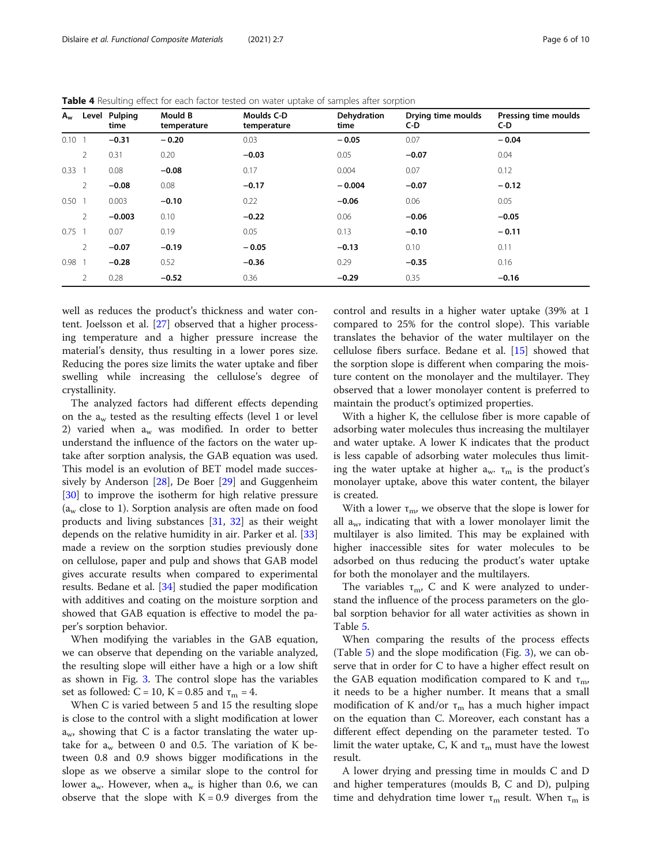| $A_w$    |                | Level Pulping<br>time | <b>Mould B</b><br>temperature | <b>Moulds C-D</b><br>temperature | Dehydration<br>time | Drying time moulds<br>C-D | Pressing time moulds<br>C-D |
|----------|----------------|-----------------------|-------------------------------|----------------------------------|---------------------|---------------------------|-----------------------------|
| $0.10$ 1 |                | $-0.31$               | $-0.20$                       | 0.03                             | $-0.05$             | 0.07                      | $-0.04$                     |
|          | $\overline{2}$ | 0.31                  | 0.20                          | $-0.03$                          | 0.05                | $-0.07$                   | 0.04                        |
| $0.33$ 1 |                | 0.08                  | $-0.08$                       | 0.17                             | 0.004               | 0.07                      | 0.12                        |
|          | $\overline{2}$ | $-0.08$               | 0.08                          | $-0.17$                          | $-0.004$            | $-0.07$                   | $-0.12$                     |
| $0.50$ 1 |                | 0.003                 | $-0.10$                       | 0.22                             | $-0.06$             | 0.06                      | 0.05                        |
|          | 2              | $-0.003$              | 0.10                          | $-0.22$                          | 0.06                | $-0.06$                   | $-0.05$                     |
| $0.75$ 1 |                | 0.07                  | 0.19                          | 0.05                             | 0.13                | $-0.10$                   | $-0.11$                     |
|          | $\overline{2}$ | $-0.07$               | $-0.19$                       | $-0.05$                          | $-0.13$             | 0.10                      | 0.11                        |
| $0.98$ 1 |                | $-0.28$               | 0.52                          | $-0.36$                          | 0.29                | $-0.35$                   | 0.16                        |
|          | $\overline{2}$ | 0.28                  | $-0.52$                       | 0.36                             | $-0.29$             | 0.35                      | $-0.16$                     |

<span id="page-5-0"></span>Table 4 Resulting effect for each factor tested on water uptake of samples after sorption

well as reduces the product's thickness and water content. Joelsson et al. [[27\]](#page-9-0) observed that a higher processing temperature and a higher pressure increase the material's density, thus resulting in a lower pores size. Reducing the pores size limits the water uptake and fiber swelling while increasing the cellulose's degree of crystallinity.

The analyzed factors had different effects depending on the  $a_w$  tested as the resulting effects (level 1 or level 2) varied when  $a_w$  was modified. In order to better understand the influence of the factors on the water uptake after sorption analysis, the GAB equation was used. This model is an evolution of BET model made successively by Anderson [[28\]](#page-9-0), De Boer [[29\]](#page-9-0) and Guggenheim [[30\]](#page-9-0) to improve the isotherm for high relative pressure  $(a<sub>w</sub>$  close to 1). Sorption analysis are often made on food products and living substances [[31,](#page-9-0) [32](#page-9-0)] as their weight depends on the relative humidity in air. Parker et al. [[33](#page-9-0)] made a review on the sorption studies previously done on cellulose, paper and pulp and shows that GAB model gives accurate results when compared to experimental results. Bedane et al. [[34\]](#page-9-0) studied the paper modification with additives and coating on the moisture sorption and showed that GAB equation is effective to model the paper's sorption behavior.

When modifying the variables in the GAB equation, we can observe that depending on the variable analyzed, the resulting slope will either have a high or a low shift as shown in Fig. [3](#page-6-0). The control slope has the variables set as followed: C = 10, K = 0.85 and  $\tau_{\text{m}}$  = 4.

When C is varied between 5 and 15 the resulting slope is close to the control with a slight modification at lower  $a_{w}$ , showing that C is a factor translating the water uptake for  $a_w$  between 0 and 0.5. The variation of K between 0.8 and 0.9 shows bigger modifications in the slope as we observe a similar slope to the control for lower  $a_w$ . However, when  $a_w$  is higher than 0.6, we can observe that the slope with  $K = 0.9$  diverges from the

control and results in a higher water uptake (39% at 1 compared to 25% for the control slope). This variable translates the behavior of the water multilayer on the cellulose fibers surface. Bedane et al. [[15\]](#page-9-0) showed that the sorption slope is different when comparing the moisture content on the monolayer and the multilayer. They observed that a lower monolayer content is preferred to maintain the product's optimized properties.

With a higher K, the cellulose fiber is more capable of adsorbing water molecules thus increasing the multilayer and water uptake. A lower K indicates that the product is less capable of adsorbing water molecules thus limiting the water uptake at higher  $a_w$ .  $\tau_m$  is the product's monolayer uptake, above this water content, the bilayer is created.

With a lower  $\tau_{\rm m}$ , we observe that the slope is lower for all  $a_{w}$ , indicating that with a lower monolayer limit the multilayer is also limited. This may be explained with higher inaccessible sites for water molecules to be adsorbed on thus reducing the product's water uptake for both the monolayer and the multilayers.

The variables  $\tau_{\rm m}$ , C and K were analyzed to understand the influence of the process parameters on the global sorption behavior for all water activities as shown in Table [5.](#page-6-0)

When comparing the results of the process effects (Table [5](#page-6-0)) and the slope modification (Fig. [3](#page-6-0)), we can observe that in order for C to have a higher effect result on the GAB equation modification compared to K and  $\tau_{m}$ , it needs to be a higher number. It means that a small modification of K and/or  $\tau_m$  has a much higher impact on the equation than C. Moreover, each constant has a different effect depending on the parameter tested. To limit the water uptake, C, K and  $\tau_m$  must have the lowest result.

A lower drying and pressing time in moulds C and D and higher temperatures (moulds B, C and D), pulping time and dehydration time lower  $\tau_m$  result. When  $\tau_m$  is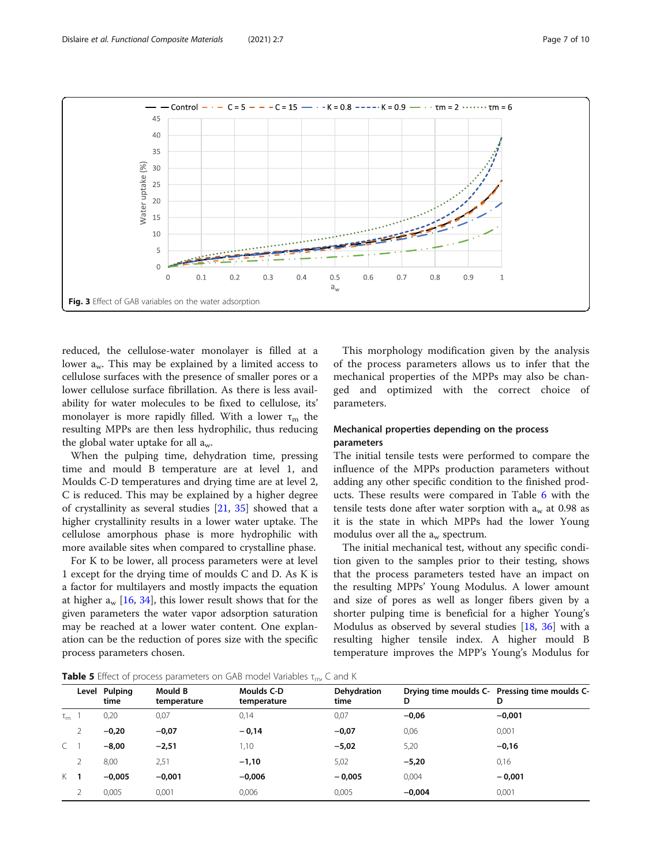<span id="page-6-0"></span>

reduced, the cellulose-water monolayer is filled at a lower a<sub>w</sub>. This may be explained by a limited access to cellulose surfaces with the presence of smaller pores or a lower cellulose surface fibrillation. As there is less availability for water molecules to be fixed to cellulose, its' monolayer is more rapidly filled. With a lower  $\tau_m$  the resulting MPPs are then less hydrophilic, thus reducing the global water uptake for all  $a_w$ .

When the pulping time, dehydration time, pressing time and mould B temperature are at level 1, and Moulds C-D temperatures and drying time are at level 2, C is reduced. This may be explained by a higher degree of crystallinity as several studies [[21,](#page-9-0) [35](#page-9-0)] showed that a higher crystallinity results in a lower water uptake. The cellulose amorphous phase is more hydrophilic with more available sites when compared to crystalline phase.

For K to be lower, all process parameters were at level 1 except for the drying time of moulds C and D. As K is a factor for multilayers and mostly impacts the equation at higher  $a_w$  [\[16](#page-9-0), [34](#page-9-0)], this lower result shows that for the given parameters the water vapor adsorption saturation may be reached at a lower water content. One explanation can be the reduction of pores size with the specific process parameters chosen.

This morphology modification given by the analysis of the process parameters allows us to infer that the mechanical properties of the MPPs may also be changed and optimized with the correct choice of parameters.

# Mechanical properties depending on the process parameters

The initial tensile tests were performed to compare the influence of the MPPs production parameters without adding any other specific condition to the finished products. These results were compared in Table [6](#page-7-0) with the tensile tests done after water sorption with  $a_w$  at 0.98 as it is the state in which MPPs had the lower Young modulus over all the  $a_w$  spectrum.

The initial mechanical test, without any specific condition given to the samples prior to their testing, shows that the process parameters tested have an impact on the resulting MPPs' Young Modulus. A lower amount and size of pores as well as longer fibers given by a shorter pulping time is beneficial for a higher Young's Modulus as observed by several studies [[18,](#page-9-0) [36\]](#page-9-0) with a resulting higher tensile index. A higher mould B temperature improves the MPP's Young's Modulus for

**Table 5** Effect of process parameters on GAB model Variables  $\tau_{m}$ , C and K

|            |   | Level Pulping<br>time | Mould B<br>temperature | Moulds C-D<br>temperature | Dehydration<br>time | D        | Drying time moulds C- Pressing time moulds C-<br>D |
|------------|---|-----------------------|------------------------|---------------------------|---------------------|----------|----------------------------------------------------|
| $\tau_{m}$ |   | 0,20                  | 0,07                   | 0,14                      | 0,07                | $-0,06$  | $-0.001$                                           |
|            | 2 | $-0,20$               | $-0,07$                | $-0,14$                   | $-0,07$             | 0,06     | 0,001                                              |
| $\subset$  |   | $-8,00$               | $-2,51$                | ,10                       | $-5,02$             | 5,20     | $-0,16$                                            |
|            |   | 8,00                  | 2,51                   | $-1,10$                   | 5,02                | $-5,20$  | 0,16                                               |
| $K$ 1      |   | $-0.005$              | $-0,001$               | $-0,006$                  | $-0.005$            | 0,004    | $-0.001$                                           |
|            | 2 | 0,005                 | 0,001                  | 0,006                     | 0,005               | $-0,004$ | 0,001                                              |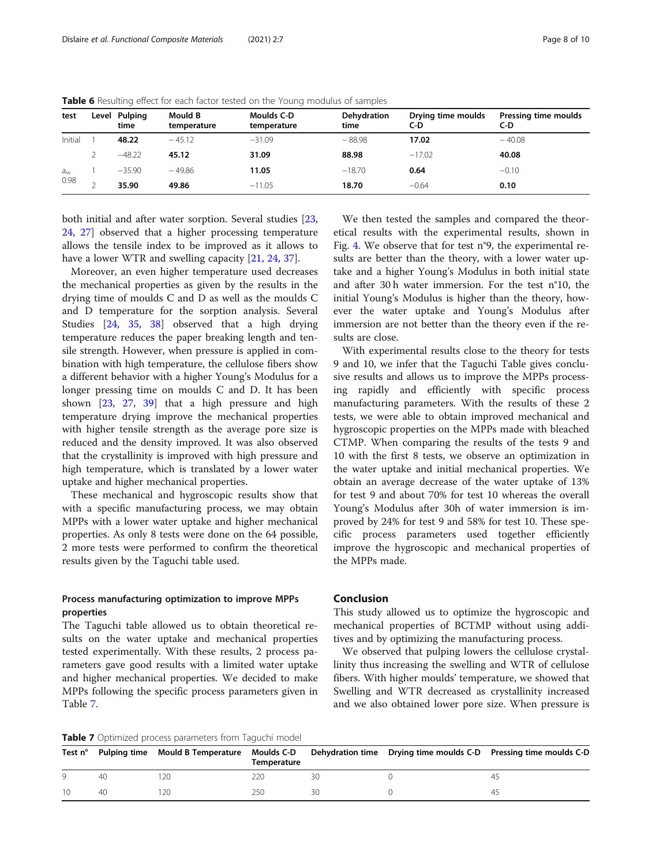| test        | Level Pulping<br>time | Mould B<br>temperature | Moulds C-D<br>temperature | Dehydration<br>time | Drying time moulds<br>C-D | Pressing time moulds<br>C-D |
|-------------|-----------------------|------------------------|---------------------------|---------------------|---------------------------|-----------------------------|
| Initial     | 48.22                 | $-45.12$               | $-31.09$                  | $-88.98$            | 17.02                     | $-40.08$                    |
|             | $-48.22$              | 45.12                  | 31.09                     | 88.98               | $-17.02$                  | 40.08                       |
| $a_{\rm w}$ | $-35.90$              | $-49.86$               | 11.05                     | $-18.70$            | 0.64                      | $-0.10$                     |
| 0.98        | 35.90                 | 49.86                  | $-11.05$                  | 18.70               | $-0.64$                   | 0.10                        |

<span id="page-7-0"></span>Table 6 Resulting effect for each factor tested on the Young modulus of samples

both initial and after water sorption. Several studies [[23](#page-9-0), [24,](#page-9-0) [27](#page-9-0)] observed that a higher processing temperature allows the tensile index to be improved as it allows to have a lower WTR and swelling capacity [\[21](#page-9-0), [24](#page-9-0), [37\]](#page-9-0).

Moreover, an even higher temperature used decreases the mechanical properties as given by the results in the drying time of moulds C and D as well as the moulds C and D temperature for the sorption analysis. Several Studies [\[24](#page-9-0), [35](#page-9-0), [38](#page-9-0)] observed that a high drying temperature reduces the paper breaking length and tensile strength. However, when pressure is applied in combination with high temperature, the cellulose fibers show a different behavior with a higher Young's Modulus for a longer pressing time on moulds C and D. It has been shown [\[23](#page-9-0), [27,](#page-9-0) [39\]](#page-9-0) that a high pressure and high temperature drying improve the mechanical properties with higher tensile strength as the average pore size is reduced and the density improved. It was also observed that the crystallinity is improved with high pressure and high temperature, which is translated by a lower water uptake and higher mechanical properties.

These mechanical and hygroscopic results show that with a specific manufacturing process, we may obtain MPPs with a lower water uptake and higher mechanical properties. As only 8 tests were done on the 64 possible, 2 more tests were performed to confirm the theoretical results given by the Taguchi table used.

## Process manufacturing optimization to improve MPPs properties

The Taguchi table allowed us to obtain theoretical results on the water uptake and mechanical properties tested experimentally. With these results, 2 process parameters gave good results with a limited water uptake and higher mechanical properties. We decided to make MPPs following the specific process parameters given in Table 7.

We then tested the samples and compared the theoretical results with the experimental results, shown in Fig. [4](#page-8-0). We observe that for test n°9, the experimental results are better than the theory, with a lower water uptake and a higher Young's Modulus in both initial state and after 30 h water immersion. For the test n°10, the initial Young's Modulus is higher than the theory, however the water uptake and Young's Modulus after immersion are not better than the theory even if the results are close.

With experimental results close to the theory for tests 9 and 10, we infer that the Taguchi Table gives conclusive results and allows us to improve the MPPs processing rapidly and efficiently with specific process manufacturing parameters. With the results of these 2 tests, we were able to obtain improved mechanical and hygroscopic properties on the MPPs made with bleached CTMP. When comparing the results of the tests 9 and 10 with the first 8 tests, we observe an optimization in the water uptake and initial mechanical properties. We obtain an average decrease of the water uptake of 13% for test 9 and about 70% for test 10 whereas the overall Young's Modulus after 30h of water immersion is improved by 24% for test 9 and 58% for test 10. These specific process parameters used together efficiently improve the hygroscopic and mechanical properties of the MPPs made.

# Conclusion

This study allowed us to optimize the hygroscopic and mechanical properties of BCTMP without using additives and by optimizing the manufacturing process.

We observed that pulping lowers the cellulose crystallinity thus increasing the swelling and WTR of cellulose fibers. With higher moulds' temperature, we showed that Swelling and WTR decreased as crystallinity increased and we also obtained lower pore size. When pressure is

**Table 7** Optimized process parameters from Taguchi model

| Test $n^{\circ}$ |    | Pulping time Mould B Temperature Moulds C-D Dehydration time | Temperature |    | Drying time moulds C-D Pressing time moulds C-D |
|------------------|----|--------------------------------------------------------------|-------------|----|-------------------------------------------------|
|                  | 40 | 20                                                           | 22C         | 30 |                                                 |
|                  | 40 | 20                                                           | 25C         | 30 |                                                 |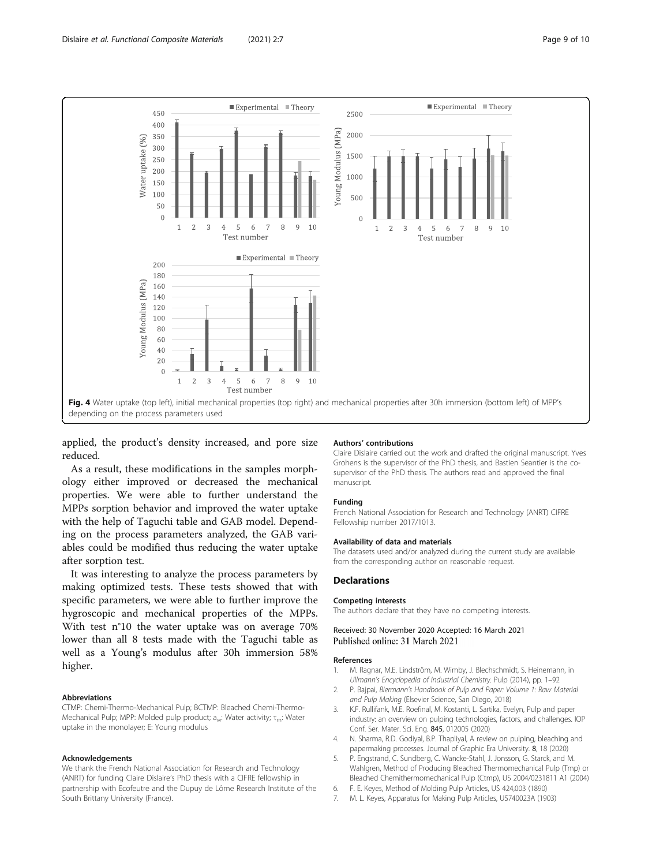<span id="page-8-0"></span>

applied, the product's density increased, and pore size reduced.

As a result, these modifications in the samples morphology either improved or decreased the mechanical properties. We were able to further understand the MPPs sorption behavior and improved the water uptake with the help of Taguchi table and GAB model. Depending on the process parameters analyzed, the GAB variables could be modified thus reducing the water uptake after sorption test.

It was interesting to analyze the process parameters by making optimized tests. These tests showed that with specific parameters, we were able to further improve the hygroscopic and mechanical properties of the MPPs. With test n°10 the water uptake was on average 70% lower than all 8 tests made with the Taguchi table as well as a Young's modulus after 30h immersion 58% higher.

#### Abbreviations

CTMP: Chemi-Thermo-Mechanical Pulp; BCTMP: Bleached Chemi-Thermo-Mechanical Pulp; MPP: Molded pulp product; a<sub>w</sub>: Water activity; τ<sub>m</sub>: Water uptake in the monolayer; E: Young modulus

#### Acknowledgements

We thank the French National Association for Research and Technology (ANRT) for funding Claire Dislaire's PhD thesis with a CIFRE fellowship in partnership with Ecofeutre and the Dupuy de Lôme Research Institute of the South Brittany University (France).

#### Authors' contributions

Claire Dislaire carried out the work and drafted the original manuscript. Yves Grohens is the supervisor of the PhD thesis, and Bastien Seantier is the cosupervisor of the PhD thesis. The authors read and approved the final manuscript.

#### Funding

French National Association for Research and Technology (ANRT) CIFRE Fellowship number 2017/1013.

#### Availability of data and materials

The datasets used and/or analyzed during the current study are available from the corresponding author on reasonable request.

#### **Declarations**

#### Competing interests

The authors declare that they have no competing interests.

#### Received: 30 November 2020 Accepted: 16 March 2021 Published online: 31 March 2021

#### References

- 1. M. Ragnar, M.E. Lindström, M. Wimby, J. Blechschmidt, S. Heinemann, in Ullmann's Encyclopedia of Industrial Chemistry. Pulp (2014), pp. 1–92
- 2. P. Bajpai, Biermann's Handbook of Pulp and Paper: Volume 1: Raw Material and Pulp Making (Elsevier Science, San Diego, 2018)
- K.F. Rullifank, M.E. Roefinal, M. Kostanti, L. Sartika, Evelyn, Pulp and paper industry: an overview on pulping technologies, factors, and challenges. IOP Conf. Ser. Mater. Sci. Eng. 845, 012005 (2020)
- 4. N. Sharma, R.D. Godiyal, B.P. Thapliyal, A review on pulping, bleaching and papermaking processes. Journal of Graphic Era University. 8, 18 (2020)
- 5. P. Engstrand, C. Sundberg, C. Wancke-Stahl, J. Jonsson, G. Starck, and M. Wahlgren, Method of Producing Bleached Thermomechanical Pulp (Tmp) or Bleached Chemithermomechanical Pulp (Ctmp), US 2004/0231811 A1 (2004)
- 6. F. E. Keyes, Method of Molding Pulp Articles, US 424,003 (1890)
- 7. M. L. Keyes, Apparatus for Making Pulp Articles, US740023A (1903)